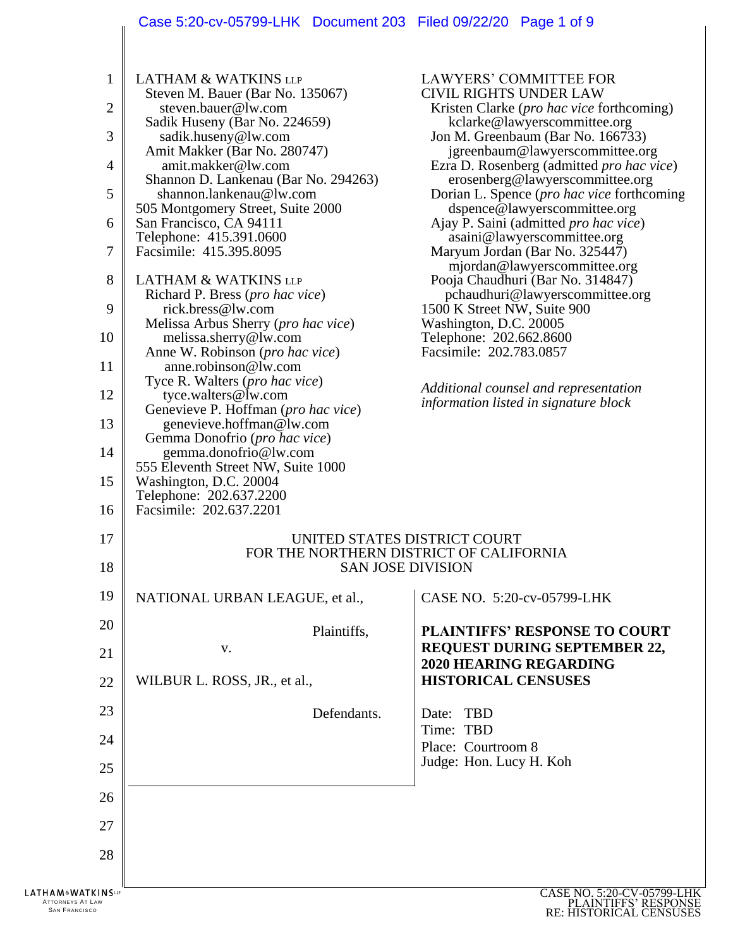## Case 5:20-cv-05799-LHK Document 203 Filed 09/22/20 Page 1 of 9

 $\overline{\phantom{a}}$ 

| 1<br>$\overline{2}$<br>3<br>$\overline{4}$<br>5<br>6<br>7<br>8<br>9<br>10<br>11<br>12<br>13<br>14<br>15<br>16<br>17<br>18 | <b>LATHAM &amp; WATKINS LLP</b><br>Steven M. Bauer (Bar No. 135067)<br>steven.bauer@lw.com<br>Sadik Huseny (Bar No. 224659)<br>sadik.huseny@lw.com<br>Amit Makker (Bar No. 280747)<br>amit.makker@lw.com<br>Shannon D. Lankenau (Bar No. 294263)<br>shannon.lankenau@lw.com<br>505 Montgomery Street, Suite 2000<br>San Francisco, CA 94111<br>Telephone: 415.391.0600<br>Facsimile: 415.395.8095<br><b>LATHAM &amp; WATKINS LLP</b><br>Richard P. Bress (pro hac vice)<br>rick.bress@lw.com<br>Melissa Arbus Sherry (pro hac vice)<br>melissa.sherry@lw.com<br>Anne W. Robinson (pro hac vice)<br>anne.robinson@lw.com<br>Tyce R. Walters (pro hac vice)<br>tyce.walters@lw.com<br>Genevieve P. Hoffman ( <i>pro hac vice</i> )<br>genevieve.hoffman@lw.com<br>Gemma Donofrio (pro hac vice)<br>gemma.donofrio@lw.com<br>555 Eleventh Street NW, Suite 1000<br>Washington, D.C. 20004<br>Telephone: 202.637.2200<br>Facsimile: 202.637.2201 | <b>LAWYERS' COMMITTEE FOR</b><br><b>CIVIL RIGHTS UNDER LAW</b><br>Kristen Clarke ( <i>pro hac vice</i> forthcoming)<br>kclarke@lawyerscommittee.org<br>Jon M. Greenbaum (Bar No. 166733)<br>jgreenbaum@lawyerscommittee.org<br>Ezra D. Rosenberg (admitted <i>pro hac vice</i> )<br>erosenberg@lawyerscommittee.org<br>Dorian L. Spence ( <i>pro hac vice</i> forthcoming<br>dspence@lawyerscommittee.org<br>Ajay P. Saini (admitted pro hac vice)<br>asaini@lawyerscommittee.org<br>Maryum Jordan (Bar No. 325447)<br>mjordan@lawyerscommittee.org<br>Pooja Chaudhuri (Bar No. 314847)<br>pchaudhuri@lawyerscommittee.org<br>1500 K Street NW, Suite 900<br>Washington, D.C. 20005<br>Telephone: 202.662.8600<br>Facsimile: 202.783.0857<br>Additional counsel and representation<br>information listed in signature block<br>UNITED STATES DISTRICT COURT<br>FOR THE NORTHERN DISTRICT OF CALIFORNIA<br><b>SAN JOSE DIVISION</b> |
|---------------------------------------------------------------------------------------------------------------------------|----------------------------------------------------------------------------------------------------------------------------------------------------------------------------------------------------------------------------------------------------------------------------------------------------------------------------------------------------------------------------------------------------------------------------------------------------------------------------------------------------------------------------------------------------------------------------------------------------------------------------------------------------------------------------------------------------------------------------------------------------------------------------------------------------------------------------------------------------------------------------------------------------------------------------------------------|------------------------------------------------------------------------------------------------------------------------------------------------------------------------------------------------------------------------------------------------------------------------------------------------------------------------------------------------------------------------------------------------------------------------------------------------------------------------------------------------------------------------------------------------------------------------------------------------------------------------------------------------------------------------------------------------------------------------------------------------------------------------------------------------------------------------------------------------------------------------------------------------------------------------------------|
| 19                                                                                                                        | NATIONAL URBAN LEAGUE, et al.,                                                                                                                                                                                                                                                                                                                                                                                                                                                                                                                                                                                                                                                                                                                                                                                                                                                                                                               | CASE NO. 5:20-cv-05799-LHK                                                                                                                                                                                                                                                                                                                                                                                                                                                                                                                                                                                                                                                                                                                                                                                                                                                                                                         |
| 20                                                                                                                        | Plaintiffs,                                                                                                                                                                                                                                                                                                                                                                                                                                                                                                                                                                                                                                                                                                                                                                                                                                                                                                                                  | <b>PLAINTIFFS' RESPONSE TO COURT</b>                                                                                                                                                                                                                                                                                                                                                                                                                                                                                                                                                                                                                                                                                                                                                                                                                                                                                               |
| 21                                                                                                                        | V.                                                                                                                                                                                                                                                                                                                                                                                                                                                                                                                                                                                                                                                                                                                                                                                                                                                                                                                                           | <b>REQUEST DURING SEPTEMBER 22,</b><br><b>2020 HEARING REGARDING</b>                                                                                                                                                                                                                                                                                                                                                                                                                                                                                                                                                                                                                                                                                                                                                                                                                                                               |
| 22                                                                                                                        | WILBUR L. ROSS, JR., et al.,                                                                                                                                                                                                                                                                                                                                                                                                                                                                                                                                                                                                                                                                                                                                                                                                                                                                                                                 | <b>HISTORICAL CENSUSES</b>                                                                                                                                                                                                                                                                                                                                                                                                                                                                                                                                                                                                                                                                                                                                                                                                                                                                                                         |
| 23                                                                                                                        | Defendants.                                                                                                                                                                                                                                                                                                                                                                                                                                                                                                                                                                                                                                                                                                                                                                                                                                                                                                                                  | Date: TBD                                                                                                                                                                                                                                                                                                                                                                                                                                                                                                                                                                                                                                                                                                                                                                                                                                                                                                                          |
| 24                                                                                                                        |                                                                                                                                                                                                                                                                                                                                                                                                                                                                                                                                                                                                                                                                                                                                                                                                                                                                                                                                              | Time: TBD<br>Place: Courtroom 8                                                                                                                                                                                                                                                                                                                                                                                                                                                                                                                                                                                                                                                                                                                                                                                                                                                                                                    |
| 25                                                                                                                        |                                                                                                                                                                                                                                                                                                                                                                                                                                                                                                                                                                                                                                                                                                                                                                                                                                                                                                                                              | Judge: Hon. Lucy H. Koh                                                                                                                                                                                                                                                                                                                                                                                                                                                                                                                                                                                                                                                                                                                                                                                                                                                                                                            |
| 26                                                                                                                        |                                                                                                                                                                                                                                                                                                                                                                                                                                                                                                                                                                                                                                                                                                                                                                                                                                                                                                                                              |                                                                                                                                                                                                                                                                                                                                                                                                                                                                                                                                                                                                                                                                                                                                                                                                                                                                                                                                    |
| 27                                                                                                                        |                                                                                                                                                                                                                                                                                                                                                                                                                                                                                                                                                                                                                                                                                                                                                                                                                                                                                                                                              |                                                                                                                                                                                                                                                                                                                                                                                                                                                                                                                                                                                                                                                                                                                                                                                                                                                                                                                                    |
| 28                                                                                                                        |                                                                                                                                                                                                                                                                                                                                                                                                                                                                                                                                                                                                                                                                                                                                                                                                                                                                                                                                              |                                                                                                                                                                                                                                                                                                                                                                                                                                                                                                                                                                                                                                                                                                                                                                                                                                                                                                                                    |
| LATHAM&WATKINSur<br><b>ATTORNEYS AT LAW</b><br><b>SAN FRANCISCO</b>                                                       |                                                                                                                                                                                                                                                                                                                                                                                                                                                                                                                                                                                                                                                                                                                                                                                                                                                                                                                                              | CASE NO. 5:20-CV-05799-LHK<br>PLAINTIFFS' RESPONSE<br>RE: HISTORICAL CENSUSES                                                                                                                                                                                                                                                                                                                                                                                                                                                                                                                                                                                                                                                                                                                                                                                                                                                      |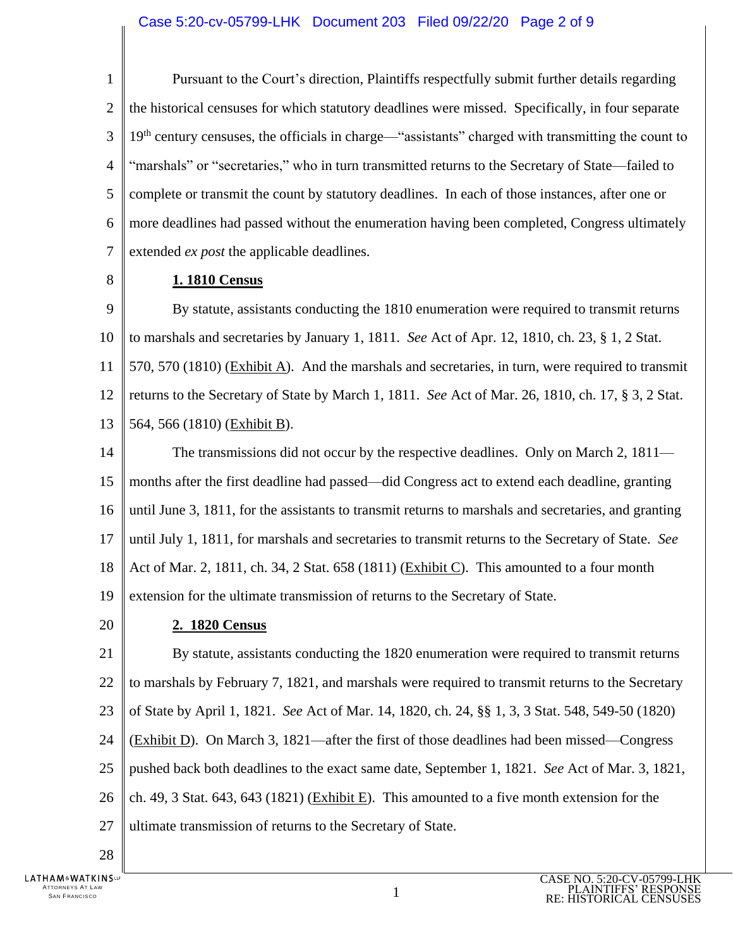1  $\mathcal{D}_{\mathcal{L}}$ 3 4 5 6 7 Pursuant to the Court's direction, Plaintiffs respectfully submit further details regarding the historical censuses for which statutory deadlines were missed. Specifically, in four separate 19<sup>th</sup> century censuses, the officials in charge—"assistants" charged with transmitting the count to "marshals" or "secretaries," who in turn transmitted returns to the Secretary of State—failed to complete or transmit the count by statutory deadlines. In each of those instances, after one or more deadlines had passed without the enumeration having been completed, Congress ultimately extended *ex post* the applicable deadlines.

8

## **1. 1810 Census**

9 10 11 12 13 By statute, assistants conducting the 1810 enumeration were required to transmit returns to marshals and secretaries by January 1, 1811. *See* Act of Apr. 12, 1810, ch. 23, § 1, 2 Stat. 570, 570 (1810) (Exhibit A). And the marshals and secretaries, in turn, were required to transmit returns to the Secretary of State by March 1, 1811. *See* Act of Mar. 26, 1810, ch. 17, § 3, 2 Stat. 564, 566 (1810) (Exhibit B).

14 15 16 17 18 19 The transmissions did not occur by the respective deadlines. Only on March 2, 1811 months after the first deadline had passed—did Congress act to extend each deadline, granting until June 3, 1811, for the assistants to transmit returns to marshals and secretaries, and granting until July 1, 1811, for marshals and secretaries to transmit returns to the Secretary of State. *See*  Act of Mar. 2, 1811, ch. 34, 2 Stat. 658 (1811) (Exhibit C). This amounted to a four month extension for the ultimate transmission of returns to the Secretary of State.

20

## **2. 1820 Census**

21 22 23 24 25 26 27 By statute, assistants conducting the 1820 enumeration were required to transmit returns to marshals by February 7, 1821, and marshals were required to transmit returns to the Secretary of State by April 1, 1821. *See* Act of Mar. 14, 1820, ch. 24, §§ 1, 3, 3 Stat. 548, 549-50 (1820) (Exhibit D). On March 3, 1821—after the first of those deadlines had been missed—Congress pushed back both deadlines to the exact same date, September 1, 1821. *See* Act of Mar. 3, 1821, ch. 49, 3 Stat. 643, 643 (1821) (Exhibit E). This amounted to a five month extension for the ultimate transmission of returns to the Secretary of State.

28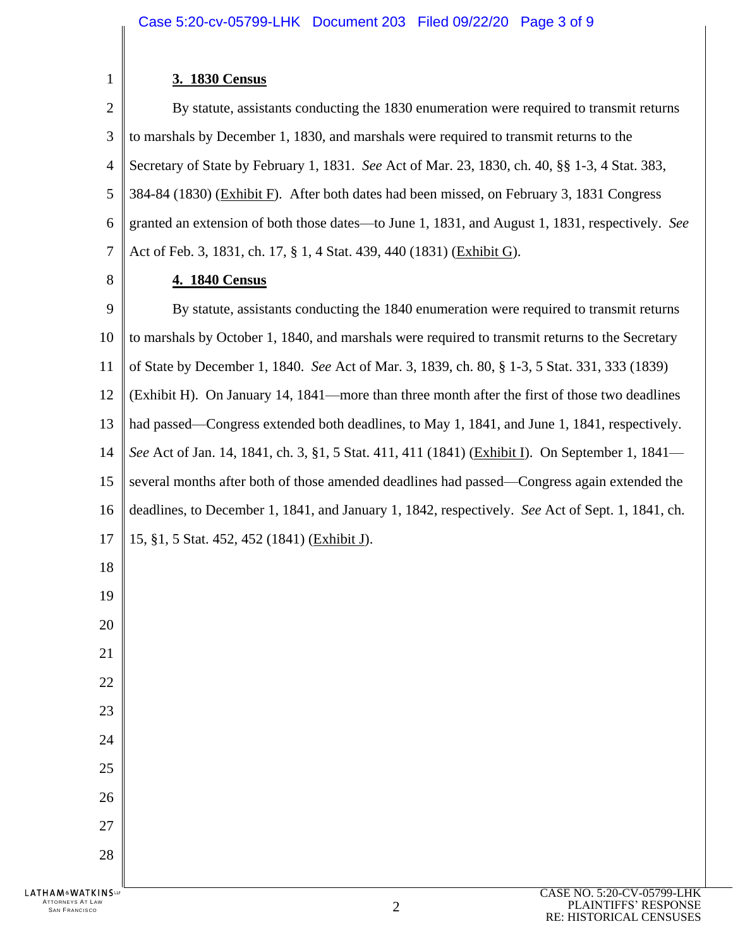$\begin{array}{c} \begin{array}{c} \begin{array}{c} \end{array} \end{array} \end{array}$ 

| 1                                                                   | 3. 1830 Census                                                                                   |
|---------------------------------------------------------------------|--------------------------------------------------------------------------------------------------|
| 2                                                                   | By statute, assistants conducting the 1830 enumeration were required to transmit returns         |
| 3                                                                   | to marshals by December 1, 1830, and marshals were required to transmit returns to the           |
| 4                                                                   | Secretary of State by February 1, 1831. See Act of Mar. 23, 1830, ch. 40, §§ 1-3, 4 Stat. 383,   |
| 5                                                                   | 384-84 (1830) (Exhibit F). After both dates had been missed, on February 3, 1831 Congress        |
| 6                                                                   | granted an extension of both those dates—to June 1, 1831, and August 1, 1831, respectively. See  |
| 7                                                                   | Act of Feb. 3, 1831, ch. 17, § 1, 4 Stat. 439, 440 (1831) (Exhibit G).                           |
| 8                                                                   | 4. 1840 Census                                                                                   |
| 9                                                                   | By statute, assistants conducting the 1840 enumeration were required to transmit returns         |
| 10                                                                  | to marshals by October 1, 1840, and marshals were required to transmit returns to the Secretary  |
| 11                                                                  | of State by December 1, 1840. See Act of Mar. 3, 1839, ch. 80, § 1-3, 5 Stat. 331, 333 (1839)    |
| 12                                                                  | (Exhibit H). On January 14, 1841—more than three month after the first of those two deadlines    |
| 13                                                                  | had passed—Congress extended both deadlines, to May 1, 1841, and June 1, 1841, respectively.     |
| 14                                                                  | See Act of Jan. 14, 1841, ch. 3, §1, 5 Stat. 411, 411 (1841) (Exhibit I). On September 1, 1841—  |
| 15                                                                  | several months after both of those amended deadlines had passed—Congress again extended the      |
| 16                                                                  | deadlines, to December 1, 1841, and January 1, 1842, respectively. See Act of Sept. 1, 1841, ch. |
| 17                                                                  | 15, §1, 5 Stat. 452, 452 (1841) (Exhibit J).                                                     |
| 18                                                                  |                                                                                                  |
| 19                                                                  |                                                                                                  |
| 20                                                                  |                                                                                                  |
| 21                                                                  |                                                                                                  |
| 22                                                                  |                                                                                                  |
| 23                                                                  |                                                                                                  |
| 24                                                                  |                                                                                                  |
| 25                                                                  |                                                                                                  |
| 26                                                                  |                                                                                                  |
| 27                                                                  |                                                                                                  |
| 28                                                                  |                                                                                                  |
| LATHAM&WATKINSup<br><b>ATTORNEYS AT LAW</b><br><b>SAN FRANCISCO</b> | CASE NO. 5:20-CV-05799-LHK<br>PLAINTIFFS' RESPONSE<br>2                                          |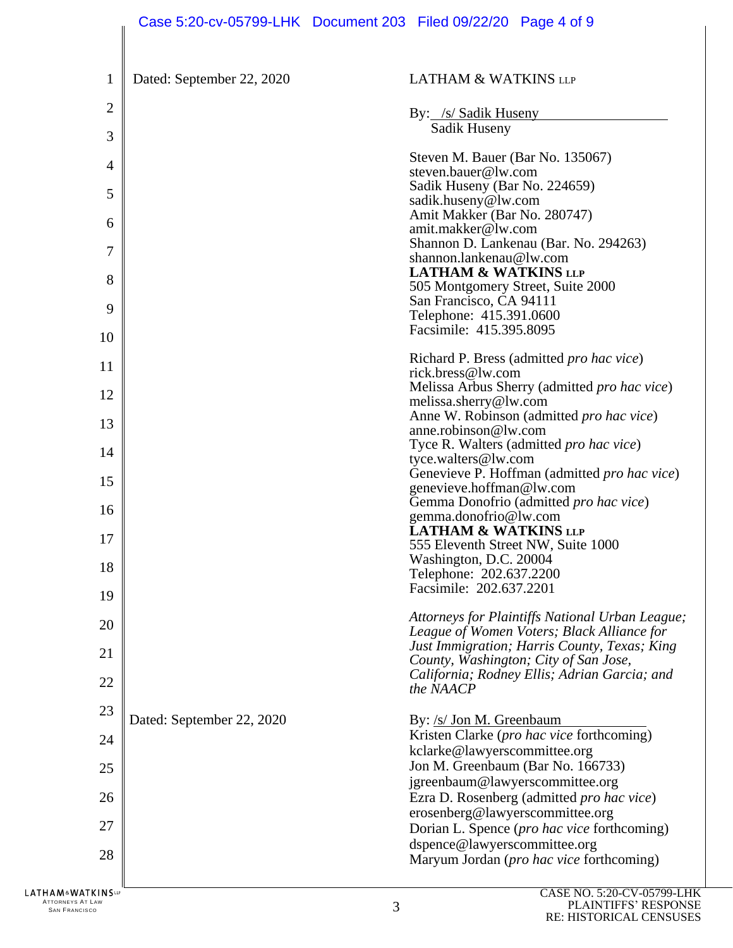| 1                    | Dated: September 22, 2020 | <b>LATHAM &amp; WATKINS LLP</b>                                                               |
|----------------------|---------------------------|-----------------------------------------------------------------------------------------------|
| $\overline{2}$       |                           | By: /s/ Sadik Huseny                                                                          |
| 3                    |                           | Sadik Huseny                                                                                  |
| 4                    |                           | Steven M. Bauer (Bar No. 135067)                                                              |
|                      |                           | steven.bauer@lw.com<br>Sadik Huseny (Bar No. 224659)                                          |
| 5                    |                           | sadik.huseny@lw.com<br>Amit Makker (Bar No. 280747)                                           |
| 6                    |                           | amit.makker@lw.com                                                                            |
| 7                    |                           | Shannon D. Lankenau (Bar. No. 294263)<br>shannon.lankenau@lw.com                              |
| 8                    |                           | <b>LATHAM &amp; WATKINS LLP</b><br>505 Montgomery Street, Suite 2000                          |
| 9                    |                           | San Francisco, CA 94111                                                                       |
| 10                   |                           | Telephone: 415.391.0600<br>Facsimile: 415.395.8095                                            |
|                      |                           | Richard P. Bress (admitted pro hac vice)                                                      |
| 11                   |                           | rick.bress@lw.com<br>Melissa Arbus Sherry (admitted pro hac vice)                             |
| 12                   |                           | melissa.sherry@lw.com                                                                         |
| 13                   |                           | Anne W. Robinson (admitted pro hac vice)<br>anne.robinson@lw.com                              |
| 14                   |                           | Tyce R. Walters (admitted pro hac vice)<br>tyce.walters@lw.com                                |
| 15                   |                           | Genevieve P. Hoffman (admitted pro hac vice)                                                  |
| 16                   |                           | genevieve.hoffman@lw.com<br>Gemma Donofrio (admitted pro hac vice)                            |
|                      |                           | gemma.donofrio@lw.com<br><b>LATHAM &amp; WATKINS LLP</b>                                      |
| 17                   |                           | 555 Eleventh Street NW, Suite 1000<br>Washington, D.C. 20004                                  |
| 18                   |                           | Telephone: 202.637.2200                                                                       |
| 19                   |                           | Facsimile: 202.637.2201                                                                       |
| 20                   |                           | Attorneys for Plaintiffs National Urban League;<br>League of Women Voters; Black Alliance for |
| 21                   |                           | Just Immigration; Harris County, Texas; King                                                  |
| 22                   |                           | County, Washington; City of San Jose,<br>California; Rodney Ellis; Adrian Garcia; and         |
|                      |                           | the NAACP                                                                                     |
| 23                   | Dated: September 22, 2020 | By: /s/ Jon M. Greenbaum                                                                      |
| 24                   |                           | Kristen Clarke (pro hac vice forthcoming)<br>kclarke@lawyerscommittee.org                     |
| 25                   |                           | Jon M. Greenbaum (Bar No. 166733)                                                             |
| 26                   |                           | jgreenbaum@lawyerscommittee.org<br>Ezra D. Rosenberg (admitted pro hac vice)                  |
| 27                   |                           | erosenberg@lawyerscommittee.org<br>Dorian L. Spence (pro hac vice forthcoming)                |
|                      |                           | dspence@lawyerscommittee.org                                                                  |
| 28                   |                           | Maryum Jordan (pro hac vice forthcoming)                                                      |
| <b>∆T K I N S</b> ແ⊵ |                           | CASE NO. 5:20-CV-05799-LHK                                                                    |

**LATHAM&WA** ATTORNEYS AT LAW <sup>S</sup>AN FRANCISCO 3

 $\mathbb{I}$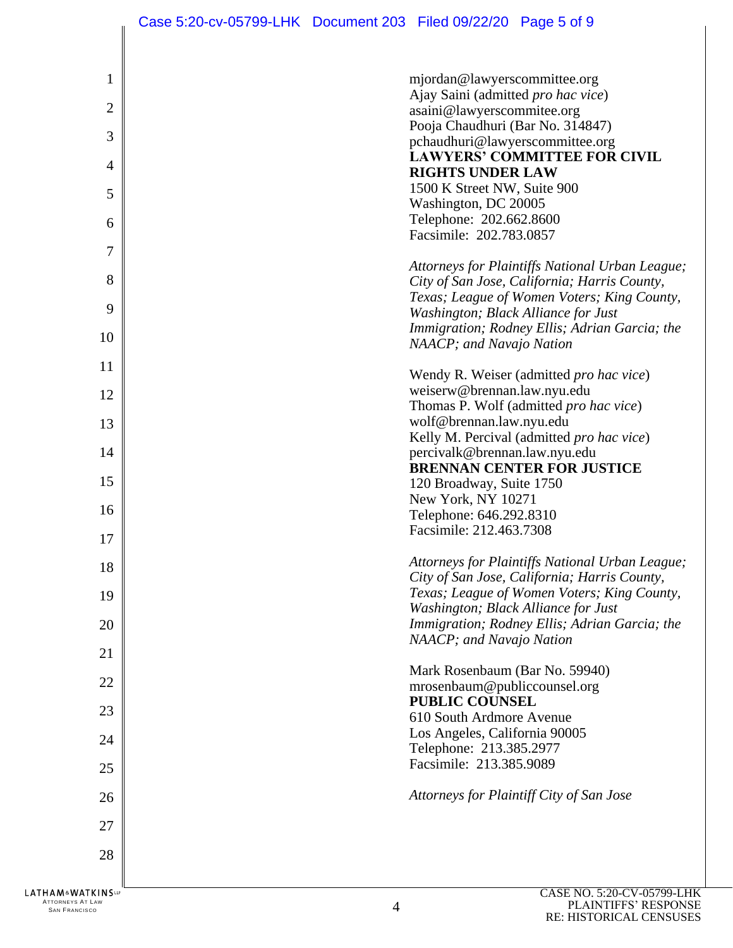| $\mathbf{1}$   | mjordan@lawyerscommittee.org                                                                    |
|----------------|-------------------------------------------------------------------------------------------------|
|                | Ajay Saini (admitted pro hac vice)                                                              |
| $\overline{2}$ | asaini@lawyerscommitee.org<br>Pooja Chaudhuri (Bar No. 314847)                                  |
| 3              | pchaudhuri@lawyerscommittee.org                                                                 |
|                | <b>LAWYERS' COMMITTEE FOR CIVIL</b>                                                             |
| 4              | <b>RIGHTS UNDER LAW</b>                                                                         |
| 5              | 1500 K Street NW, Suite 900<br>Washington, DC 20005                                             |
| 6              | Telephone: 202.662.8600                                                                         |
|                | Facsimile: 202.783.0857                                                                         |
| 7              |                                                                                                 |
| 8              | Attorneys for Plaintiffs National Urban League;<br>City of San Jose, California; Harris County, |
|                | Texas; League of Women Voters; King County,                                                     |
| 9              | Washington; Black Alliance for Just                                                             |
| 10             | Immigration; Rodney Ellis; Adrian Garcia; the                                                   |
|                | NAACP; and Navajo Nation                                                                        |
| 11             | Wendy R. Weiser (admitted <i>pro hac vice</i> )                                                 |
| 12             | weiserw@brennan.law.nyu.edu                                                                     |
|                | Thomas P. Wolf (admitted pro hac vice)                                                          |
| 13             | wolf@brennan.law.nyu.edu<br>Kelly M. Percival (admitted pro hac vice)                           |
| 14             | percivalk@brennan.law.nyu.edu                                                                   |
|                | <b>BRENNAN CENTER FOR JUSTICE</b>                                                               |
| 15             | 120 Broadway, Suite 1750                                                                        |
| 16             | New York, NY 10271<br>Telephone: 646.292.8310                                                   |
|                | Facsimile: 212.463.7308                                                                         |
| 17             |                                                                                                 |
| 18             | Attorneys for Plaintiffs National Urban League;<br>City of San Jose, California; Harris County, |
| 19             | Texas; League of Women Voters; King County,                                                     |
|                | Washington; Black Alliance for Just                                                             |
| 20             | Immigration; Rodney Ellis; Adrian Garcia; the                                                   |
| 21             | NAACP; and Navajo Nation                                                                        |
|                | Mark Rosenbaum (Bar No. 59940)                                                                  |
| 22             | mrosenbaum@publiccounsel.org                                                                    |
| 23             | <b>PUBLIC COUNSEL</b>                                                                           |
|                | 610 South Ardmore Avenue<br>Los Angeles, California 90005                                       |
| 24             | Telephone: 213.385.2977                                                                         |
| 25             | Facsimile: 213.385.9089                                                                         |
|                |                                                                                                 |
| 26             | Attorneys for Plaintiff City of San Jose                                                        |
| 27             |                                                                                                 |
|                |                                                                                                 |
| 28             |                                                                                                 |
| KINSUP         | $C$ A CE NO 5.20 $C$ V 05700 LH                                                                 |

ATTORNEYS AT LAW <sup>S</sup>AN FRANCISCO 4

 $\left| \right|$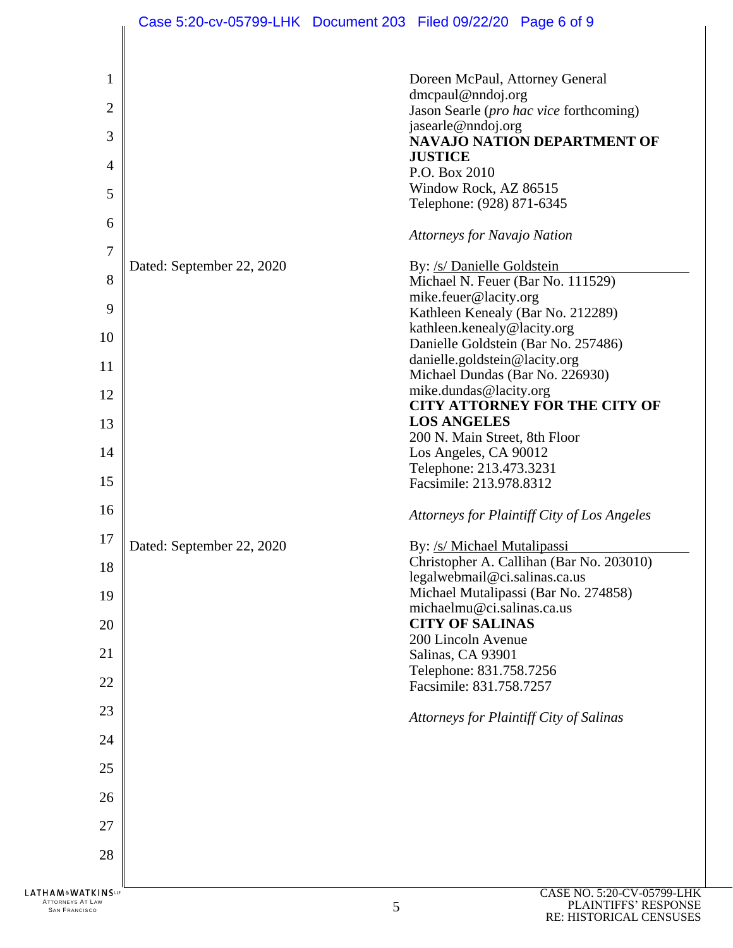|                                                                                             | Case 5:20-cv-05799-LHK Document 203 Filed 09/22/20 Page 6 of 9 |   |                                                                                                                                                                                                                                                                                                                                                                                                                                                                                               |                                                                                                                                                              |
|---------------------------------------------------------------------------------------------|----------------------------------------------------------------|---|-----------------------------------------------------------------------------------------------------------------------------------------------------------------------------------------------------------------------------------------------------------------------------------------------------------------------------------------------------------------------------------------------------------------------------------------------------------------------------------------------|--------------------------------------------------------------------------------------------------------------------------------------------------------------|
| 1<br>$\overline{2}$<br>3<br>$\overline{4}$<br>5<br>6<br>7<br>8<br>9<br>10<br>11<br>12<br>13 | Dated: September 22, 2020                                      |   | Doreen McPaul, Attorney General<br>dmcpaul@nndoj.org<br>jasearle@nndoj.org<br><b>JUSTICE</b><br>P.O. Box 2010<br>Window Rock, AZ 86515<br>Telephone: (928) 871-6345<br><b>Attorneys for Navajo Nation</b><br>By: /s/ Danielle Goldstein<br>Michael N. Feuer (Bar No. 111529)<br>mike.feuer@lacity.org<br>Kathleen Kenealy (Bar No. 212289)<br>kathleen.kenealy@lacity.org<br>danielle.goldstein@lacity.org<br>Michael Dundas (Bar No. 226930)<br>mike.dundas@lacity.org<br><b>LOS ANGELES</b> | Jason Searle (pro hac vice forthcoming)<br><b>NAVAJO NATION DEPARTMENT OF</b><br>Danielle Goldstein (Bar No. 257486)<br><b>CITY ATTORNEY FOR THE CITY OF</b> |
| 14<br>15<br>16                                                                              |                                                                |   | 200 N. Main Street, 8th Floor<br>Los Angeles, CA 90012<br>Telephone: 213.473.3231<br>Facsimile: 213.978.8312                                                                                                                                                                                                                                                                                                                                                                                  | Attorneys for Plaintiff City of Los Angeles                                                                                                                  |
| 17<br>18<br>19<br>20<br>21<br>22                                                            | Dated: September 22, 2020                                      |   | By: /s/ Michael Mutalipassi<br>legalwebmail@ci.salinas.ca.us<br>michaelmu@ci.salinas.ca.us<br><b>CITY OF SALINAS</b><br>200 Lincoln Avenue<br>Salinas, CA 93901<br>Telephone: 831.758.7256<br>Facsimile: 831.758.7257                                                                                                                                                                                                                                                                         | Christopher A. Callihan (Bar No. 203010)<br>Michael Mutalipassi (Bar No. 274858)                                                                             |
| 23<br>24<br>25<br>26                                                                        |                                                                |   |                                                                                                                                                                                                                                                                                                                                                                                                                                                                                               | Attorneys for Plaintiff City of Salinas                                                                                                                      |
| 27<br>28<br>HAM&WATKINS℡                                                                    |                                                                |   |                                                                                                                                                                                                                                                                                                                                                                                                                                                                                               | CASE NO. 5:20-CV-05799-LHK                                                                                                                                   |
| ATTORNEYS AT LAW<br><b>SAN FRANCISCO</b>                                                    |                                                                | 5 |                                                                                                                                                                                                                                                                                                                                                                                                                                                                                               | PLAINTIFFS' RESPONSE                                                                                                                                         |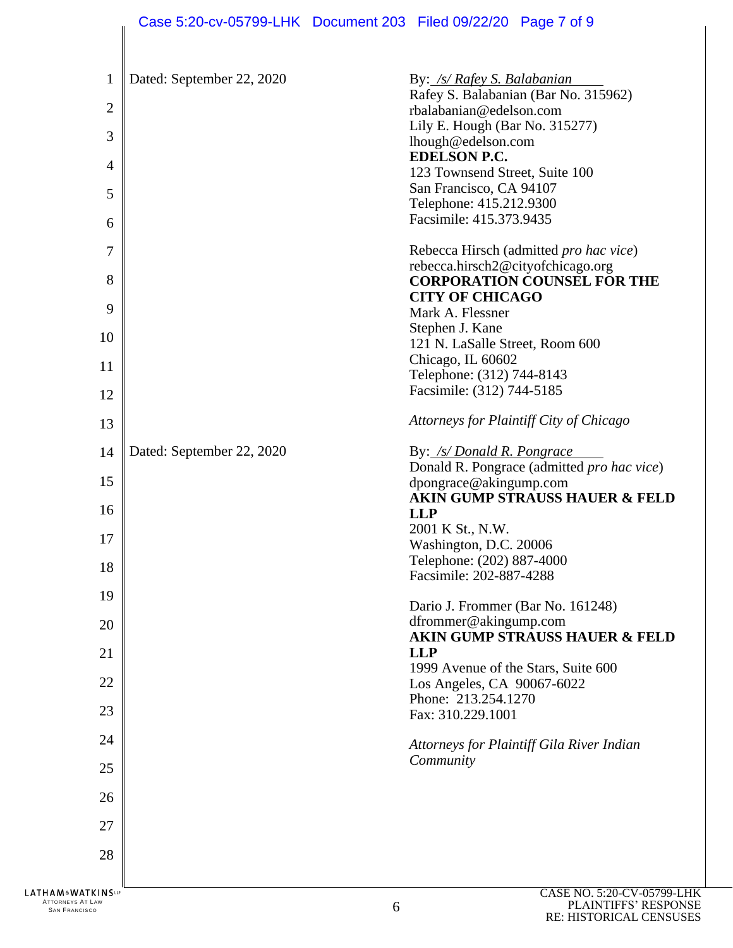|                | Case 5:20-cv-05799-LHK Document 203 Filed 09/22/20 Page 7 of 9 |                                                           |                                            |
|----------------|----------------------------------------------------------------|-----------------------------------------------------------|--------------------------------------------|
| $\mathbf{1}$   | Dated: September 22, 2020                                      | By: /s/ Rafey S. Balabanian                               |                                            |
|                |                                                                |                                                           | Rafey S. Balabanian (Bar No. 315962)       |
| $\mathbf{2}$   |                                                                | rbalabanian@edelson.com<br>Lily E. Hough (Bar No. 315277) |                                            |
| 3              |                                                                | lhough@edelson.com                                        |                                            |
| 4              |                                                                | <b>EDELSON P.C.</b><br>123 Townsend Street, Suite 100     |                                            |
| 5              |                                                                | San Francisco, CA 94107                                   |                                            |
| 6              |                                                                | Telephone: 415.212.9300<br>Facsimile: 415.373.9435        |                                            |
|                |                                                                |                                                           |                                            |
| $\overline{7}$ |                                                                | rebecca.hirsch2@cityofchicago.org                         | Rebecca Hirsch (admitted pro hac vice)     |
| 8              |                                                                |                                                           | <b>CORPORATION COUNSEL FOR THE</b>         |
| 9              |                                                                | <b>CITY OF CHICAGO</b><br>Mark A. Flessner                |                                            |
|                |                                                                | Stephen J. Kane                                           |                                            |
| 10             |                                                                | 121 N. LaSalle Street, Room 600                           |                                            |
| 11             |                                                                | Chicago, IL 60602<br>Telephone: (312) 744-8143            |                                            |
| 12             |                                                                | Facsimile: (312) 744-5185                                 |                                            |
| 13             |                                                                |                                                           | Attorneys for Plaintiff City of Chicago    |
| 14             | Dated: September 22, 2020                                      | By: /s/ Donald R. Pongrace                                |                                            |
| 15             |                                                                |                                                           | Donald R. Pongrace (admitted pro hac vice) |
|                |                                                                | dpongrace@akingump.com                                    | <b>AKIN GUMP STRAUSS HAUER &amp; FELD</b>  |
| 16             |                                                                | <b>LLP</b>                                                |                                            |
| 17             |                                                                | 2001 K St., N.W.<br>Washington, D.C. 20006                |                                            |
| 18             |                                                                | Telephone: (202) 887-4000                                 |                                            |
|                |                                                                | Facsimile: 202-887-4288                                   |                                            |
| 19             |                                                                | Dario J. Frommer (Bar No. 161248)                         |                                            |
| 20             |                                                                | dfrommer@akingump.com                                     | <b>AKIN GUMP STRAUSS HAUER &amp; FELD</b>  |
| 21             |                                                                | <b>LLP</b><br>1999 Avenue of the Stars, Suite 600         |                                            |
| 22             |                                                                | Los Angeles, CA 90067-6022                                |                                            |
| 23             |                                                                | Phone: 213.254.1270<br>Fax: 310.229.1001                  |                                            |
| 24             |                                                                |                                                           |                                            |
|                |                                                                | Community                                                 | Attorneys for Plaintiff Gila River Indian  |
| 25             |                                                                |                                                           |                                            |
| 26             |                                                                |                                                           |                                            |
| 27             |                                                                |                                                           |                                            |
| 28             |                                                                |                                                           |                                            |
| <b>ATKINS</b>  |                                                                |                                                           | CASE NO. 5:20-CV-05799-LHK                 |

ATTORNEYS AT LAW  $6 \overline{6}$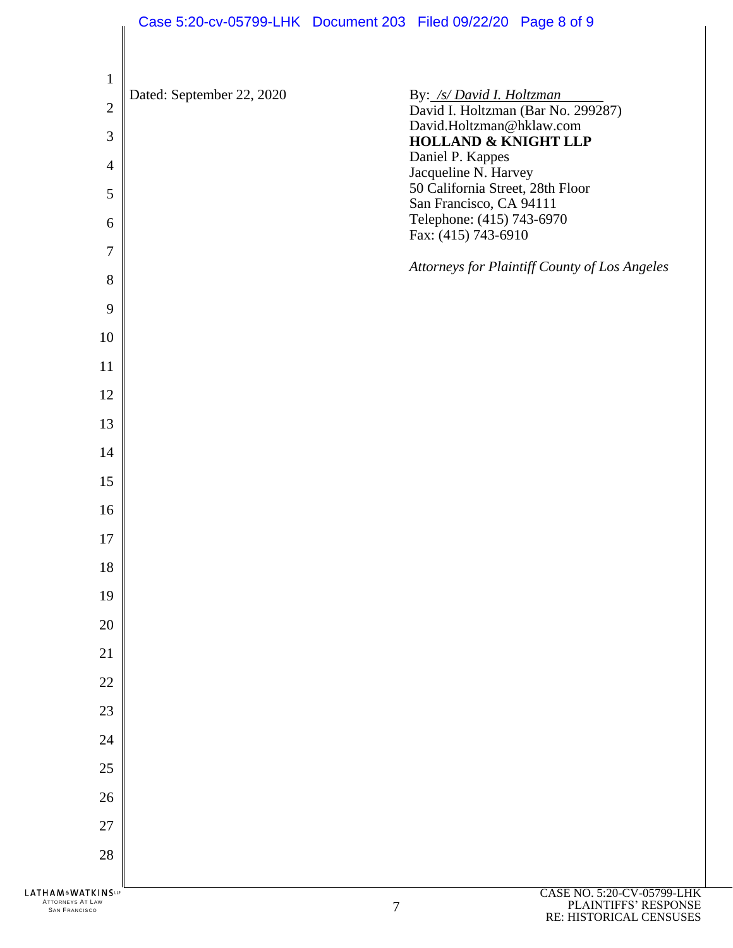|                                                                                | Case 5:20-cv-05799-LHK Document 203 Filed 09/22/20 Page 8 of 9 |        |                                                          |                                                                 |
|--------------------------------------------------------------------------------|----------------------------------------------------------------|--------|----------------------------------------------------------|-----------------------------------------------------------------|
|                                                                                |                                                                |        |                                                          |                                                                 |
| $\mathbf{1}$                                                                   | Dated: September 22, 2020                                      |        |                                                          |                                                                 |
| $\overline{2}$                                                                 |                                                                |        | David.Holtzman@hklaw.com                                 | By: /s/ David I. Holtzman<br>David I. Holtzman (Bar No. 299287) |
| 3                                                                              |                                                                |        | <b>HOLLAND &amp; KNIGHT LLP</b><br>Daniel P. Kappes      |                                                                 |
| $\overline{4}$<br>5                                                            |                                                                |        | Jacqueline N. Harvey<br>50 California Street, 28th Floor |                                                                 |
| 6                                                                              |                                                                |        | San Francisco, CA 94111<br>Telephone: (415) 743-6970     |                                                                 |
| $\overline{7}$                                                                 |                                                                |        | Fax: (415) 743-6910                                      |                                                                 |
| 8                                                                              |                                                                |        |                                                          | Attorneys for Plaintiff County of Los Angeles                   |
| 9                                                                              |                                                                |        |                                                          |                                                                 |
| 10                                                                             |                                                                |        |                                                          |                                                                 |
| 11                                                                             |                                                                |        |                                                          |                                                                 |
| 12                                                                             |                                                                |        |                                                          |                                                                 |
| 13                                                                             |                                                                |        |                                                          |                                                                 |
| 14<br>15                                                                       |                                                                |        |                                                          |                                                                 |
| 16                                                                             |                                                                |        |                                                          |                                                                 |
| 17                                                                             |                                                                |        |                                                          |                                                                 |
| 18                                                                             |                                                                |        |                                                          |                                                                 |
| 19                                                                             |                                                                |        |                                                          |                                                                 |
| 20                                                                             |                                                                |        |                                                          |                                                                 |
| 21                                                                             |                                                                |        |                                                          |                                                                 |
| 22                                                                             |                                                                |        |                                                          |                                                                 |
| 23<br>24                                                                       |                                                                |        |                                                          |                                                                 |
| 25                                                                             |                                                                |        |                                                          |                                                                 |
| 26                                                                             |                                                                |        |                                                          |                                                                 |
| 27                                                                             |                                                                |        |                                                          |                                                                 |
| 28                                                                             |                                                                |        |                                                          |                                                                 |
| <b>LATHAM&amp;WATKINSLP</b><br><b>ATTORNEYS AT LAW</b><br><b>SAN FRANCISCO</b> |                                                                | $\tau$ |                                                          | CASE NO. 5:20-CV-05799-LHK<br>PLAINTIFFS' RESPONSE              |